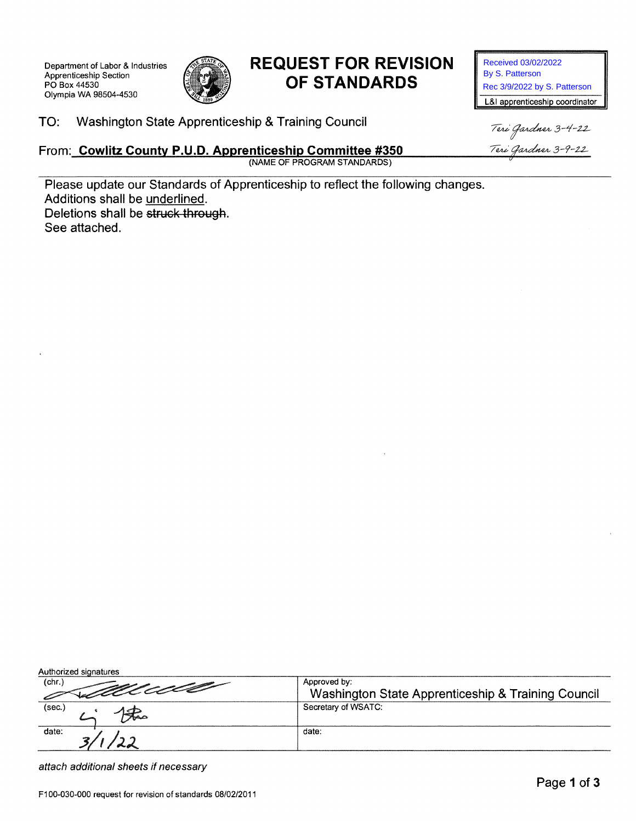Department of Labor & Industries Apprenticeship Section PO Box 44530 Olympia WA 98504-4530



# **REQUEST FOR REVISION** OF STANDARDS

Received 03/02/2022 By S. Patterson Rec 3/9/2022 by S. Patterson L&I apprenticeship coordinator

Washington State Apprenticeship & Training Council TO:

### From: Cowlitz County P.U.D. Apprenticeship Committee #350

(NAME OF PROGRAM STANDARDS)

Teri Gardner 3-4-22 Teri Gardner 3-9-22

Please update our Standards of Apprenticeship to reflect the following changes. Additions shall be underlined. Deletions shall be struck through. See attached.

| Authorized signatures |                                                    |
|-----------------------|----------------------------------------------------|
| (chr.)                | Approved by:                                       |
| ostalado              | Washington State Apprenticeship & Training Council |
| (sec.)                | Secretary of WSATC:                                |
| date:                 | date:                                              |
|                       |                                                    |

attach additional sheets if necessary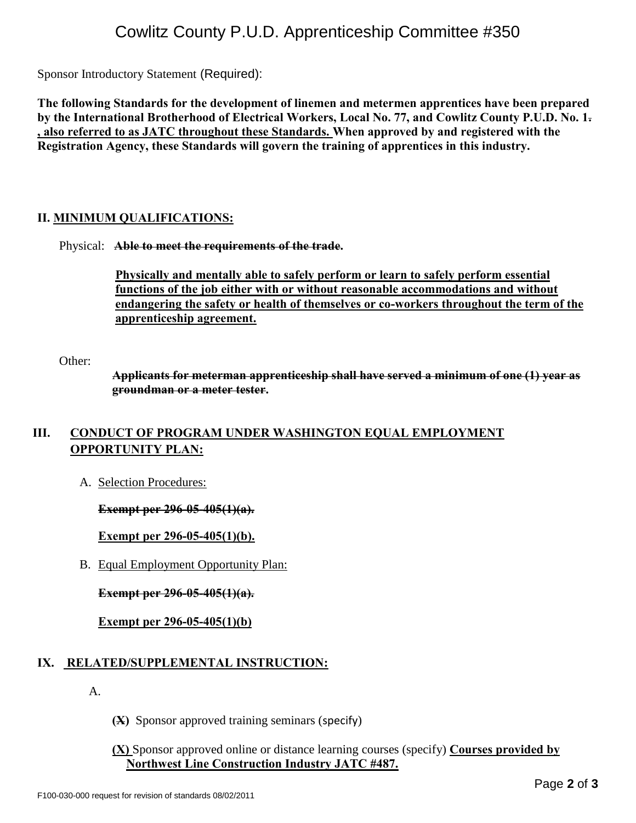## Cowlitz County P.U.D. Apprenticeship Committee #350

Sponsor Introductory Statement (Required):

**The following Standards for the development of linemen and metermen apprentices have been prepared by the International Brotherhood of Electrical Workers, Local No. 77, and Cowlitz County P.U.D. No. 1. , also referred to as JATC throughout these Standards. When approved by and registered with the Registration Agency, these Standards will govern the training of apprentices in this industry.**

#### **II. MINIMUM QUALIFICATIONS:**

#### Physical: **Able to meet the requirements of the trade.**

 **Physically and mentally able to safely perform or learn to safely perform essential functions of the job either with or without reasonable accommodations and without endangering the safety or health of themselves or co-workers throughout the term of the apprenticeship agreement.**

Other:

**Applicants for meterman apprenticeship shall have served a minimum of one (1) year as groundman or a meter tester.**

### III. **CONDUCT OF PROGRAM UNDER WASHINGTON EQUAL EMPLOYMENT OPPORTUNITY PLAN:**

A. Selection Procedures:

**Exempt per 296-05-405(1)(a).**

#### **Exempt per 296-05-405(1)(b).**

B. Equal Employment Opportunity Plan:

**Exempt per 296-05-405(1)(a).**

**Exempt per 296-05-405(1)(b)**

#### **IX. RELATED/SUPPLEMENTAL INSTRUCTION:**

A.

- **(X)** Sponsor approved training seminars (specify)
- **(X)** Sponsor approved online or distance learning courses (specify) **Courses provided by Northwest Line Construction Industry JATC #487.**